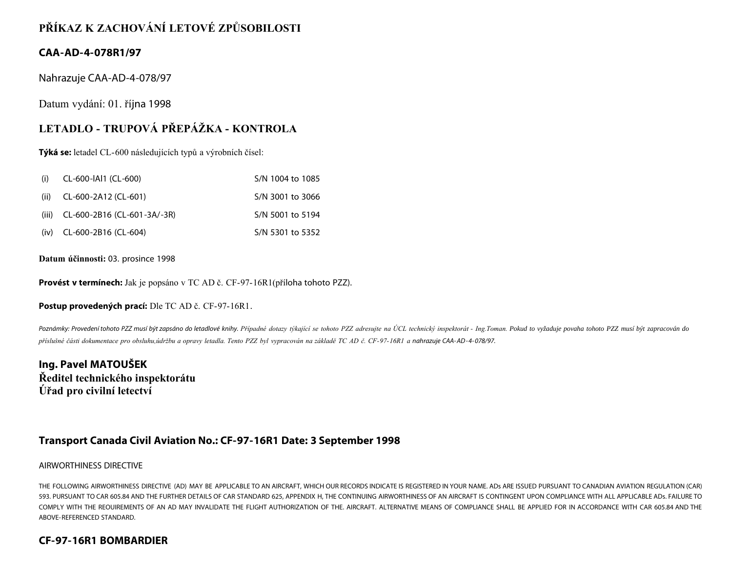# **PŘÍKAZ K ZACHOVÁNÍ LETOVÉ ZPŮSOBILOSTI**

### **CAA-AD-4-078R1/97**

Nahrazuje CAA-AD-4-078/97

Datum vydání: 01. října 1998

# **LETADLO - TRUPOVÁ PŘEPÁŽKA - KONTROLA**

**Týká se:** letadel CL-600 následujících typů a výrobních čísel:

| (i)  | CL-600-IAI1 (CL-600)                    | S/N 1004 to 1085 |
|------|-----------------------------------------|------------------|
| (ii) | CL-600-2A12 (CL-601)                    | S/N 3001 to 3066 |
|      | (iii) $CL-600-2B16$ ( $CL-601-3A/-3R$ ) | S/N 5001 to 5194 |
|      | $(iv)$ CL-600-2B16 (CL-604)             | S/N 5301 to 5352 |

**Datum účinnosti:** 03. prosince 1998

**Provést v termínech:** Jak je popsáno v TC AD č. CF-97-16R1(příloha tohoto PZZ).

**Postup provedených prací:** Dle TC AD č. CF-97-16R1.

Poznámky: Provedení tohoto PZZ musí být zapsáno do letadlové knihy. Případné dotazy týkající se tohoto PZZ adresujte na ÚCL technický inspektorát - Ing.Toman. Pokud to vyžaduje povaha tohoto PZZ musí být zapracován do *příslušné části dokumentace pro obsluhu,údržbu a opravy letadla. Tento PZZ byl vypracován na základě TC AD č. CF-97-16R1 a nahrazuje CAA- AD- 4- 078/97.*

**Ing. Pavel MATOUŠEK Ředitel technického inspektorátu Úřad pro civilní letectví**

### **Transport Canada Civil Aviation No.: CF-97-16R1 Date: 3 September 1998**

#### AIRWORTHINESS DIRECTIVE

THE FOLLOWING AIRWORTHINESS DIRECTIVE (AD) MAY BE APPLICABLE TO AN AIRCRAFT, WHICH OUR RECORDS INDICATE IS REGISTERED IN YOUR NAME. ADs ARE ISSUED PURSUANT TO CANADIAN AVIATION REGULATION (CAR) 593. PURSUANT TO CAR 605.84 AND THE FURTHER DETAILS OF CAR STANDARD 625, APPENDIX H, THE CONTINUING AIRWORTHINESS OF AN AIRCRAFT IS CONTINGENT UPON COMPLIANCE WITH ALL APPLICABLE ADs. FAILURE TO COMPLY WITH THE REOUIREMENTS OF AN AD MAY INVALIDATE THE FLIGHT AUTHORIZATION OF THE. AIRCRAFT. ALTERNATIVE MEANS OF COMPLIANCE SHALL BE APPLIED FOR IN ACCORDANCE WITH CAR 605.84 AND THE ABOVE-REFERENCED STANDARD.

### **CF-97-16R1 BOMBARDIER**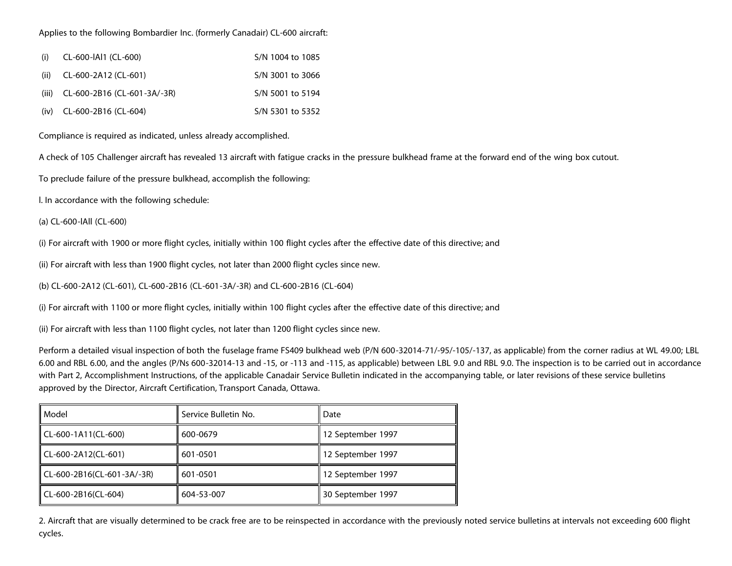#### Applies to the following Bombardier Inc. (formerly Canadair) CL-600 aircraft:

| (i)  | CL-600-IAI1 (CL-600)                    | S/N 1004 to 1085 |
|------|-----------------------------------------|------------------|
| (ii) | CL-600-2A12 (CL-601)                    | S/N 3001 to 3066 |
|      | (iii) $CL-600-2B16$ ( $CL-601-3A/-3R$ ) | S/N 5001 to 5194 |
|      | $(iv)$ CL-600-2B16 (CL-604)             | S/N 5301 to 5352 |

Compliance is required as indicated, unless already accomplished.

A check of 105 Challenger aircraft has revealed 13 aircraft with fatigue cracks in the pressure bulkhead frame at the forward end of the wing box cutout.

To preclude failure of the pressure bulkhead, accomplish the following:

l. In accordance with the following schedule:

(a) CL-600-lAll (CL-600)

(i) For aircraft with 1900 or more flight cycles, initially within 100 flight cycles after the effective date of this directive; and

(ii) For aircraft with less than 1900 flight cycles, not later than 2000 flight cycles since new.

(b) CL-600-2A12 (CL-601), CL-600-2B16 (CL-601-3A/-3R) and CL-600-2B16 (CL-604)

(i) For aircraft with 1100 or more flight cycles, initially within 100 flight cycles after the effective date of this directive; and

(ii) For aircraft with less than 1100 flight cycles, not later than 1200 flight cycles since new.

Perform a detailed visual inspection of both the fuselage frame FS409 bulkhead web (P/N 600-32014-71/-95/-105/-137, as applicable) from the corner radius at WL 49.00; LBL 6.00 and RBL 6.00, and the angles (P/Ns 600-32014-13 and -15, or -113 and -115, as applicable) between LBL 9.0 and RBL 9.0. The inspection is to be carried out in accordance with Part 2, Accomplishment Instructions, of the applicable Canadair Service Bulletin indicated in the accompanying table, or later revisions of these service bulletins approved by the Director, Aircraft Certification, Transport Canada, Ottawa.

| Model                      | Service Bulletin No. | Date              |
|----------------------------|----------------------|-------------------|
| $CL-600-1A11(CL-600)$      | 600-0679             | 12 September 1997 |
| CL-600-2A12(CL-601)        | 601-0501             | 12 September 1997 |
| CL-600-2B16(CL-601-3A/-3R) | 601-0501             | 12 September 1997 |
| CL-600-2B16(CL-604)        | 604-53-007           | 30 September 1997 |

2. Aircraft that are visually determined to be crack free are to be reinspected in accordance with the previously noted service bulletins at intervals not exceeding 600 flight cycles.